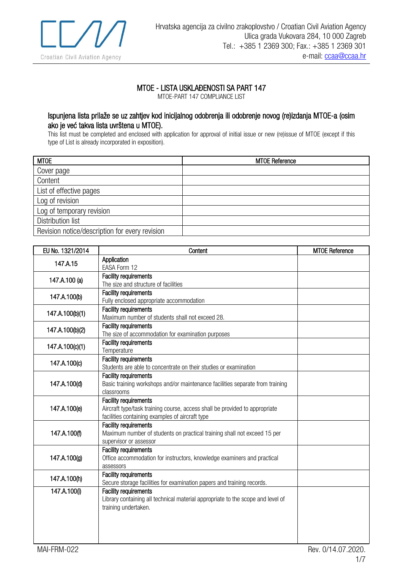

## MTOE - LISTA USKLAĐENOSTI SA PART 147

MTOE-PART 147 COMPLIANCE LIST

## Ispunjena lista prilaže se uz zahtjev kod inicijalnog odobrenja ili odobrenje novog (re)izdanja MTOE-a (osim ako je već takva lista uvrštena u MTOE).

This list must be completed and enclosed with application for approval of initial issue or new (re)issue of MTOE (except if this type of List is already incorporated in exposition).

| <b>MTOE</b>                                    | <b>MTOE Reference</b> |
|------------------------------------------------|-----------------------|
| Cover page                                     |                       |
| Content                                        |                       |
| List of effective pages                        |                       |
| Log of revision                                |                       |
| Log of temporary revision                      |                       |
| Distribution list                              |                       |
| Revision notice/description for every revision |                       |

| EU No. 1321/2014 | Content                                                                                                                                                        | <b>MTOE Reference</b> |
|------------------|----------------------------------------------------------------------------------------------------------------------------------------------------------------|-----------------------|
| 147.A.15         | Application<br>EASA Form 12                                                                                                                                    |                       |
| 147.A.100 (a)    | Facility requirements<br>The size and structure of facilities                                                                                                  |                       |
| 147.A.100(b)     | <b>Facility requirements</b><br>Fully enclosed appropriate accommodation                                                                                       |                       |
| 147.A.100(b)(1)  | <b>Facility requirements</b><br>Maximum number of students shall not exceed 28.                                                                                |                       |
| 147.A.100(b)(2)  | <b>Facility requirements</b><br>The size of accommodation for examination purposes                                                                             |                       |
| 147.A.100(c)(1)  | <b>Facility requirements</b><br>Temperature                                                                                                                    |                       |
| 147.A.100(c)     | <b>Facility requirements</b><br>Students are able to concentrate on their studies or examination                                                               |                       |
| 147.A.100(d)     | <b>Facility requirements</b><br>Basic training workshops and/or maintenance facilities separate from training<br>classrooms                                    |                       |
| 147.A.100(e)     | <b>Facility requirements</b><br>Aircraft type/task training course, access shall be provided to appropriate<br>facilities containing examples of aircraft type |                       |
| 147.A.100(f)     | <b>Facility requirements</b><br>Maximum number of students on practical training shall not exceed 15 per<br>supervisor or assessor                             |                       |
| 147.A.100(g)     | <b>Facility requirements</b><br>Office accommodation for instructors, knowledge examiners and practical<br>assessors                                           |                       |
| 147.A.100(h)     | Facility requirements<br>Secure storage facilities for examination papers and training records.                                                                |                       |
| 147.A.100(i)     | <b>Facility requirements</b><br>Library containing all technical material appropriate to the scope and level of<br>training undertaken.                        |                       |
| MAI-FRM-022      |                                                                                                                                                                | Rev. 0/14.07.2020.    |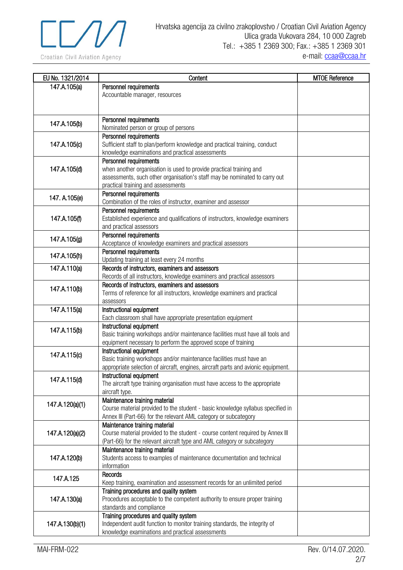

| EU No. 1321/2014 | Content                                                                                           | <b>MTOE Reference</b> |
|------------------|---------------------------------------------------------------------------------------------------|-----------------------|
| 147.A.105(a)     | Personnel requirements                                                                            |                       |
|                  | Accountable manager, resources                                                                    |                       |
|                  |                                                                                                   |                       |
|                  |                                                                                                   |                       |
| 147.A.105(b)     | Personnel requirements                                                                            |                       |
|                  | Nominated person or group of persons                                                              |                       |
|                  | Personnel requirements                                                                            |                       |
| 147.A.105(c)     | Sufficient staff to plan/perform knowledge and practical training, conduct                        |                       |
|                  | knowledge examinations and practical assessments<br>Personnel requirements                        |                       |
| 147.A.105(d)     | when another organisation is used to provide practical training and                               |                       |
|                  | assessments, such other organisation's staff may be nominated to carry out                        |                       |
|                  | practical training and assessments                                                                |                       |
|                  | Personnel requirements                                                                            |                       |
| 147. A.105(e)    | Combination of the roles of instructor, examiner and assessor                                     |                       |
|                  | Personnel requirements                                                                            |                       |
| 147.A.105(f)     | Established experience and qualifications of instructors, knowledge examiners                     |                       |
|                  | and practical assessors                                                                           |                       |
| 147.A.105(g)     | Personnel requirements                                                                            |                       |
|                  | Acceptance of knowledge examiners and practical assessors                                         |                       |
| 147.A.105(h)     | Personnel requirements                                                                            |                       |
|                  | Updating training at least every 24 months                                                        |                       |
| 147.A.110(a)     | Records of instructors, examiners and assessors                                                   |                       |
|                  | Records of all instructors, knowledge examiners and practical assessors                           |                       |
| 147.A.110(b)     | Records of instructors, examiners and assessors                                                   |                       |
|                  | Terms of reference for all instructors, knowledge examiners and practical                         |                       |
| 147.A.115(a)     | assessors<br>Instructional equipment                                                              |                       |
|                  | Each classroom shall have appropriate presentation equipment                                      |                       |
|                  | Instructional equipment                                                                           |                       |
| 147.A.115(b)     | Basic training workshops and/or maintenance facilities must have all tools and                    |                       |
|                  | equipment necessary to perform the approved scope of training                                     |                       |
|                  | Instructional equipment                                                                           |                       |
| 147.A.115(c)     | Basic training workshops and/or maintenance facilities must have an                               |                       |
|                  | appropriate selection of aircraft, engines, aircraft parts and avionic equipment.                 |                       |
| 147.A.115(d)     | Instructional equipment                                                                           |                       |
|                  | The aircraft type training organisation must have access to the appropriate                       |                       |
|                  | aircraft type.                                                                                    |                       |
| 147.A.120(a)(1)  | Maintenance training material                                                                     |                       |
|                  | Course material provided to the student - basic knowledge syllabus specified in                   |                       |
|                  | Annex III (Part-66) for the relevant AML category or subcategory<br>Maintenance training material |                       |
| 147.A.120(a)(2)  | Course material provided to the student - course content required by Annex III                    |                       |
|                  | (Part-66) for the relevant aircraft type and AML category or subcategory                          |                       |
|                  | Maintenance training material                                                                     |                       |
| 147.A.120(b)     | Students access to examples of maintenance documentation and technical                            |                       |
|                  | information                                                                                       |                       |
|                  | Records                                                                                           |                       |
| 147.A.125        | Keep training, examination and assessment records for an unlimited period                         |                       |
|                  | Training procedures and quality system                                                            |                       |
| 147.A.130(a)     | Procedures acceptable to the competent authority to ensure proper training                        |                       |
|                  | standards and compliance                                                                          |                       |
|                  | Training procedures and quality system                                                            |                       |
| 147.A.130(b)(1)  | Independent audit function to monitor training standards, the integrity of                        |                       |
|                  | knowledge examinations and practical assessments                                                  |                       |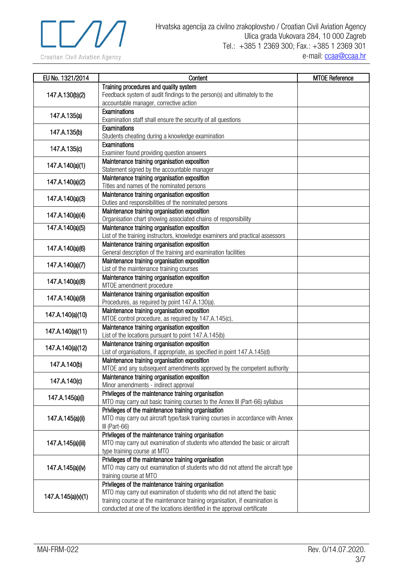

| EU No. 1321/2014   | Content                                                                                                        | <b>MTOE Reference</b> |
|--------------------|----------------------------------------------------------------------------------------------------------------|-----------------------|
|                    | Training procedures and quality system                                                                         |                       |
| 147.A.130(b)(2)    | Feedback system of audit findings to the person(s) and ultimately to the                                       |                       |
|                    | accountable manager, corrective action                                                                         |                       |
| 147.A.135(a)       | Examinations                                                                                                   |                       |
|                    | Examination staff shall ensure the security of all questions                                                   |                       |
| 147.A.135(b)       | Examinations                                                                                                   |                       |
|                    | Students cheating during a knowledge examination                                                               |                       |
| 147.A.135(c)       | Examinations                                                                                                   |                       |
|                    | Examiner found providing question answers                                                                      |                       |
| 147.A.140(a)(1)    | Maintenance training organisation exposition                                                                   |                       |
|                    | Statement signed by the accountable manager                                                                    |                       |
| 147.A.140(a)(2)    | Maintenance training organisation exposition                                                                   |                       |
|                    | Titles and names of the nominated persons                                                                      |                       |
| 147.A.140(a)(3)    | Maintenance training organisation exposition                                                                   |                       |
|                    | Duties and responsibilities of the nominated persons                                                           |                       |
| 147.A.140(a)(4)    | Maintenance training organisation exposition<br>Organisation chart showing associated chains of responsibility |                       |
| 147.A.140(a)(5)    | Maintenance training organisation exposition                                                                   |                       |
|                    | List of the training instructors, knowledge examiners and practical assessors                                  |                       |
|                    | Maintenance training organisation exposition                                                                   |                       |
| 147.A.140(a)(6)    | General description of the training and examination facilities                                                 |                       |
|                    | Maintenance training organisation exposition                                                                   |                       |
| 147.A.140(a)(7)    | List of the maintenance training courses                                                                       |                       |
|                    | Maintenance training organisation exposition                                                                   |                       |
| 147.A.140(a)(8)    | MTOE amendment procedure                                                                                       |                       |
|                    | Maintenance training organisation exposition                                                                   |                       |
| 147.A.140(a)(9)    | Procedures, as required by point 147.A.130(a).                                                                 |                       |
| 147.A.140(a)(10)   | Maintenance training organisation exposition                                                                   |                       |
|                    | MTOE control procedure, as required by 147.A.145(c),                                                           |                       |
| 147.A.140(a)(11)   | Maintenance training organisation exposition                                                                   |                       |
|                    | List of the locations pursuant to point 147.A.145(b)                                                           |                       |
| 147.A.140(a)(12)   | Maintenance training organisation exposition                                                                   |                       |
|                    | List of organisations, if appropriate, as specified in point 147.A.145(d)                                      |                       |
| 147.A.140(b)       | Maintenance training organisation exposition                                                                   |                       |
|                    | MTOE and any subsequent amendments approved by the competent authority                                         |                       |
| 147.A.140(c)       | Maintenance training organisation exposition                                                                   |                       |
|                    | Minor amendments - indirect approval<br>Privileges of the maintenance training organisation                    |                       |
| 147.A.145(a)(i)    | MTO may carry out basic training courses to the Annex III (Part-66) syllabus                                   |                       |
|                    | Privileges of the maintenance training organisation                                                            |                       |
| 147.A.145(a)(ii)   | MTO may carry out aircraft type/task training courses in accordance with Annex                                 |                       |
|                    | III (Part-66)                                                                                                  |                       |
|                    | Privileges of the maintenance training organisation                                                            |                       |
| 147.A.145(a)(iii)  | MTO may carry out examination of students who attended the basic or aircraft                                   |                       |
|                    | type training course at MTO                                                                                    |                       |
|                    | Privileges of the maintenance training organisation                                                            |                       |
| 147.A.145(a)(iv)   | MTO may carry out examination of students who did not attend the aircraft type                                 |                       |
|                    | training course at MTO                                                                                         |                       |
|                    | Privileges of the maintenance training organisation                                                            |                       |
| 147.A.145(a)(v)(1) | MTO may carry out examination of students who did not attend the basic                                         |                       |
|                    | training course at the maintenance training organisation, if examination is                                    |                       |
|                    | conducted at one of the locations identified in the approval certificate                                       |                       |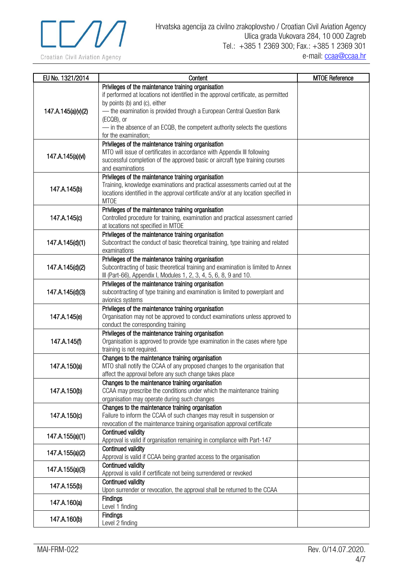

| EU No. 1321/2014   | Content                                                                                                               | <b>MTOE Reference</b> |
|--------------------|-----------------------------------------------------------------------------------------------------------------------|-----------------------|
|                    | Privileges of the maintenance training organisation                                                                   |                       |
|                    | if performed at locations not identified in the approval certificate, as permitted                                    |                       |
|                    | by points (b) and (c), either                                                                                         |                       |
| 147.A.145(a)(v)(2) | - the examination is provided through a European Central Question Bank                                                |                       |
|                    | (ECQB), or                                                                                                            |                       |
|                    | - in the absence of an ECQB, the competent authority selects the questions<br>for the examination;                    |                       |
|                    | Privileges of the maintenance training organisation                                                                   |                       |
|                    | MTO will issue of certificates in accordance with Appendix III following                                              |                       |
| 147.A.145(a)(vi)   | successful completion of the approved basic or aircraft type training courses                                         |                       |
|                    | and examinations                                                                                                      |                       |
|                    | Privileges of the maintenance training organisation                                                                   |                       |
| 147.A.145(b)       | Training, knowledge examinations and practical assessments carried out at the                                         |                       |
|                    | locations identified in the approval certificate and/or at any location specified in                                  |                       |
|                    | <b>MTOE</b>                                                                                                           |                       |
|                    | Privileges of the maintenance training organisation                                                                   |                       |
| 147.A.145(c)       | Controlled procedure for training, examination and practical assessment carried<br>at locations not specified in MTOE |                       |
|                    | Privileges of the maintenance training organisation                                                                   |                       |
| 147.A.145(d)(1)    | Subcontract the conduct of basic theoretical training, type training and related                                      |                       |
|                    | examinations                                                                                                          |                       |
|                    | Privileges of the maintenance training organisation                                                                   |                       |
| 147.A.145(d)(2)    | Subcontracting of basic theoretical training and examination is limited to Annex                                      |                       |
|                    | III (Part-66), Appendix I, Modules 1, 2, 3, 4, 5, 6, 8, 9 and 10.                                                     |                       |
|                    | Privileges of the maintenance training organisation                                                                   |                       |
| 147.A.145(d)(3)    | subcontracting of type training and examination is limited to powerplant and                                          |                       |
|                    | avionics systems                                                                                                      |                       |
|                    | Privileges of the maintenance training organisation                                                                   |                       |
| 147.A.145(e)       | Organisation may not be approved to conduct examinations unless approved to<br>conduct the corresponding training     |                       |
|                    | Privileges of the maintenance training organisation                                                                   |                       |
| 147.A.145(f)       | Organisation is approved to provide type examination in the cases where type                                          |                       |
|                    | training is not required.                                                                                             |                       |
|                    | Changes to the maintenance training organisation                                                                      |                       |
| 147.A.150(a)       | MTO shall notify the CCAA of any proposed changes to the organisation that                                            |                       |
|                    | affect the approval before any such change takes place                                                                |                       |
|                    | Changes to the maintenance training organisation                                                                      |                       |
| 147.A.150(b)       | CCAA may prescribe the conditions under which the maintenance training                                                |                       |
|                    | organisation may operate during such changes<br>Changes to the maintenance training organisation                      |                       |
| 147.A.150(c)       | Failure to inform the CCAA of such changes may result in suspension or                                                |                       |
|                    | revocation of the maintenance training organisation approval certificate                                              |                       |
|                    | <b>Continued validity</b>                                                                                             |                       |
| 147.A.155(a)(1)    | Approval is valid if organisation remaining in compliance with Part-147                                               |                       |
|                    | <b>Continued validity</b>                                                                                             |                       |
| 147.A.155(a)(2)    | Approval is valid if CCAA being granted access to the organisation                                                    |                       |
| 147.A.155(a)(3)    | Continued validity                                                                                                    |                       |
|                    | Approval is valid if certificate not being surrendered or revoked                                                     |                       |
| 147.A.155(b)       | Continued validity                                                                                                    |                       |
|                    | Upon surrender or revocation, the approval shall be returned to the CCAA                                              |                       |
| 147.A.160(a)       | <b>Findings</b><br>Level 1 finding                                                                                    |                       |
|                    | <b>Findings</b>                                                                                                       |                       |
| 147.A.160(b)       | Level 2 finding                                                                                                       |                       |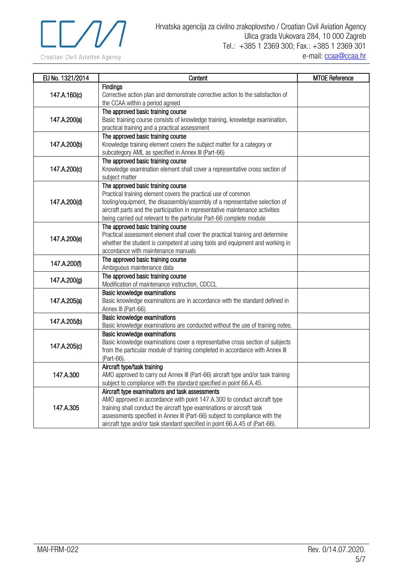

| EU No. 1321/2014 | Content                                                                                                                                                                                                                                                                                                                                                             | <b>MTOE Reference</b> |
|------------------|---------------------------------------------------------------------------------------------------------------------------------------------------------------------------------------------------------------------------------------------------------------------------------------------------------------------------------------------------------------------|-----------------------|
| 147.A.160(c)     | <b>Findings</b><br>Corrective action plan and demonstrate corrective action to the satisfaction of<br>the CCAA within a period agreed                                                                                                                                                                                                                               |                       |
| 147.A.200(a)     | The approved basic training course<br>Basic training course consists of knowledge training, knowledge examination,<br>practical training and a practical assessment                                                                                                                                                                                                 |                       |
| 147.A.200(b)     | The approved basic training course<br>Knowledge training element covers the subject matter for a category or<br>subcategory AML as specified in Annex III (Part-66)                                                                                                                                                                                                 |                       |
| 147.A.200(c)     | The approved basic training course<br>Knowledge examination element shall cover a representative cross section of<br>subject matter                                                                                                                                                                                                                                 |                       |
| 147.A.200(d)     | The approved basic training course<br>Practical training element covers the practical use of common<br>tooling/equipment, the disassembly/assembly of a representative selection of<br>aircraft parts and the participation in representative maintenance activities<br>being carried out relevant to the particular Part-66 complete module                        |                       |
| 147.A.200(e)     | The approved basic training course<br>Practical assessment element shall cover the practical training and determine<br>whether the student is competent at using tools and equipment and working in<br>accordance with maintenance manuals                                                                                                                          |                       |
| 147.A.200(f)     | The approved basic training course<br>Ambiguous maintenance data                                                                                                                                                                                                                                                                                                    |                       |
| 147.A.200(g)     | The approved basic training course<br>Modification of maintenance instruction, CDCCL                                                                                                                                                                                                                                                                                |                       |
| 147.A.205(a)     | Basic knowledge examinations<br>Basic knowledge examinations are in accordance with the standard defined in<br>Annex III (Part-66).                                                                                                                                                                                                                                 |                       |
| 147.A.205(b)     | Basic knowledge examinations<br>Basic knowledge examinations are conducted without the use of training notes.                                                                                                                                                                                                                                                       |                       |
| 147.A.205(c)     | Basic knowledge examinations<br>Basic knowledge examinations cover a representative cross section of subjects<br>from the particular module of training completed in accordance with Annex III<br>(Part-66).                                                                                                                                                        |                       |
| 147.A.300        | Aircraft type/task training<br>AMO approved to carry out Annex III (Part-66) aircraft type and/or task training<br>subject to compliance with the standard specified in point 66.A.45.                                                                                                                                                                              |                       |
| 147.A.305        | Aircraft type examinations and task assessments<br>AMO approved in accordance with point 147.A.300 to conduct aircraft type<br>training shall conduct the aircraft type examinations or aircraft task<br>assessments specified in Annex III (Part-66) subject to compliance with the<br>aircraft type and/or task standard specified in point 66.A.45 of (Part-66). |                       |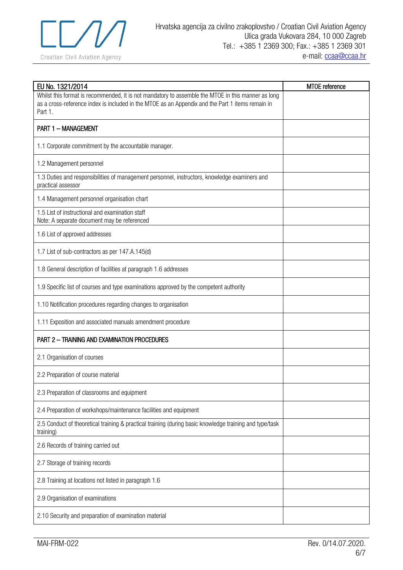

| EU No. 1321/2014                                                                                                                                                                                                  | MTOE reference |
|-------------------------------------------------------------------------------------------------------------------------------------------------------------------------------------------------------------------|----------------|
| Whilst this format is recommended, it is not mandatory to assemble the MTOE in this manner as long<br>as a cross-reference index is included in the MTOE as an Appendix and the Part 1 items remain in<br>Part 1. |                |
| <b>PART 1 - MANAGEMENT</b>                                                                                                                                                                                        |                |
| 1.1 Corporate commitment by the accountable manager.                                                                                                                                                              |                |
| 1.2 Management personnel                                                                                                                                                                                          |                |
| 1.3 Duties and responsibilities of management personnel, instructors, knowledge examiners and<br>practical assessor                                                                                               |                |
| 1.4 Management personnel organisation chart                                                                                                                                                                       |                |
| 1.5 List of instructional and examination staff<br>Note: A separate document may be referenced                                                                                                                    |                |
| 1.6 List of approved addresses                                                                                                                                                                                    |                |
| 1.7 List of sub-contractors as per 147.A.145(d)                                                                                                                                                                   |                |
| 1.8 General description of facilities at paragraph 1.6 addresses                                                                                                                                                  |                |
| 1.9 Specific list of courses and type examinations approved by the competent authority                                                                                                                            |                |
| 1.10 Notification procedures regarding changes to organisation                                                                                                                                                    |                |
| 1.11 Exposition and associated manuals amendment procedure                                                                                                                                                        |                |
| <b>PART 2 - TRAINING AND EXAMINATION PROCEDURES</b>                                                                                                                                                               |                |
| 2.1 Organisation of courses                                                                                                                                                                                       |                |
| 2.2 Preparation of course material                                                                                                                                                                                |                |
| 2.3 Preparation of classrooms and equipment                                                                                                                                                                       |                |
| 2.4 Preparation of workshops/maintenance facilities and equipment                                                                                                                                                 |                |
| 2.5 Conduct of theoretical training & practical training (during basic knowledge training and type/task<br>training)                                                                                              |                |
| 2.6 Records of training carried out                                                                                                                                                                               |                |
| 2.7 Storage of training records                                                                                                                                                                                   |                |
| 2.8 Training at locations not listed in paragraph 1.6                                                                                                                                                             |                |
| 2.9 Organisation of examinations                                                                                                                                                                                  |                |
| 2.10 Security and preparation of examination material                                                                                                                                                             |                |